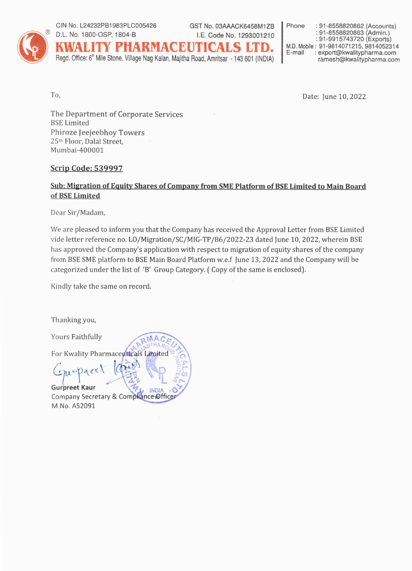

#### CIN No. L24232PB1983PLC005426 D.L. No. 1800-OSP, 1804-B

GST No. 03AAACK6458M1ZB I.E. Code No. 1293001210

KWALITY PHARMACEUTICALS LT

Read. Office: 6<sup>th</sup> Mile Stone, Village Nag Kalan, Majitha Road, Amritsar - 143 601 (INDIA)

: 91-8558820862 (Accounts) Phone : 91-8558820863 (Admin.) : 91-9915743720 (Exports) M.D. Mobile: 91-9814071215. 9814052314 : export@kwalitypharma.com E-mail ramesh@kwalitypharma.com

To,

Date: June 10, 2022

The Department of Corporate Services **BSE** Limited Phiroze Jeejeebhoy Towers 25th Floor, Dalal Street, Mumbai-400001

### **Scrip Code: 539997**

### Sub: Migration of Equity Shares of Company from SME Platform of BSE Limited to Main Board of BSE Limited

Dear Sir/Madam,

We are pleased to inform you that the Company has received the Approval Letter from BSE Limited vide letter reference no. LO/Migration/SC/MIG-TP/86/2022-23 dated June 10, 2022, wherein BSE has approved the Company's application with respect to migration of equity shares of the company from BSE SME platform to BSE Main Board Platform w.e.f June 13, 2022 and the Company will be categorized under the list of 'B' Group Category. (Copy of the same is enclosed).

Kindly take the same on record.

Thanking you,

Yours Faithfully

For Kwality Pharmaceuticals Limited

 $O_4$ ec **Gurpreet Kaur INDIA** Company Secretary & Compliance Office M.No. A52091

RMAC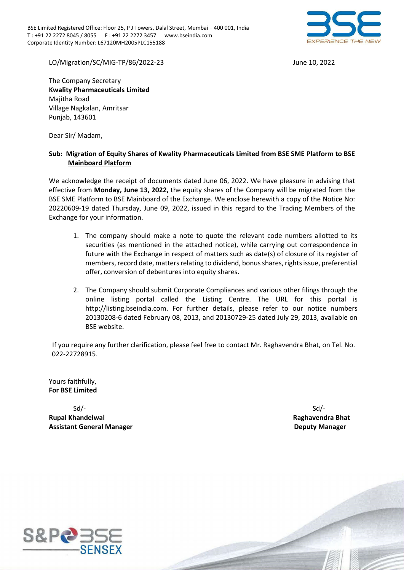

LO/Migration/SC/MIG-TP/86/2022-23 June 10, 2022

The Company Secretary Kwality Pharmaceuticals Limited Majitha Road Village Nagkalan, Amritsar Punjab, 143601

Dear Sir/ Madam,

### Sub: Migration of Equity Shares of Kwality Pharmaceuticals Limited from BSE SME Platform to BSE Mainboard Platform

We acknowledge the receipt of documents dated June 06, 2022. We have pleasure in advising that effective from Monday, June 13, 2022, the equity shares of the Company will be migrated from the BSE SME Platform to BSE Mainboard of the Exchange. We enclose herewith a copy of the Notice No: 20220609-19 dated Thursday, June 09, 2022, issued in this regard to the Trading Members of the Exchange for your information.

- 1. The company should make a note to quote the relevant code numbers allotted to its securities (as mentioned in the attached notice), while carrying out correspondence in future with the Exchange in respect of matters such as date(s) of closure of its register of members, record date, matters relating to dividend, bonus shares, rights issue, preferential offer, conversion of debentures into equity shares.
- 2. The Company should submit Corporate Compliances and various other filings through the online listing portal called the Listing Centre. The URL for this portal is http://listing.bseindia.com. For further details, please refer to our notice numbers 20130208-6 dated February 08, 2013, and 20130729-25 dated July 29, 2013, available on BSE website.

 If you require any further clarification, please feel free to contact Mr. Raghavendra Bhat, on Tel. No. 022-22728915.

BSE - CONFIDENTIAL

Yours faithfully, For BSE Limited

 Sd/- Sd/- Rupal Khandelwal Raghavendra Bhat Assistant General Manager Deputy Manager

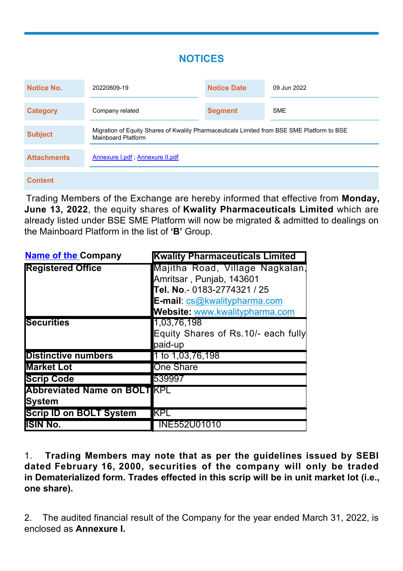# **NOTICES**

| Notice No.         | 20220609-19                                                                                                      | <b>Notice Date</b> | 09 Jun 2022 |
|--------------------|------------------------------------------------------------------------------------------------------------------|--------------------|-------------|
| <b>Category</b>    | Company related                                                                                                  | <b>Segment</b>     | <b>SME</b>  |
| <b>Subject</b>     | Migration of Equity Shares of Kwality Pharmaceuticals Limited from BSE SME Platform to BSE<br>Mainboard Platform |                    |             |
| <b>Attachments</b> | Annexure I.pdf; Annexure II.pdf                                                                                  |                    |             |
|                    |                                                                                                                  |                    |             |

### **Content**

Trading Members of the Exchange are hereby informed that effective from **Monday, June 13, 2022**, the equity shares of **Kwality Pharmaceuticals Limited** which are already listed under BSE SME Platform will now be migrated & admitted to dealings on the Mainboard Platform in the list of **'B'** Group.

| <b>Name of the Company</b>         | <b>Kwality Pharmaceuticals Limited</b> |
|------------------------------------|----------------------------------------|
| <b>Registered Office</b>           | Majitha Road, Village Nagkalan,        |
|                                    | Amritsar, Punjab, 143601               |
|                                    | Tel. No.- 0183-2774321 / 25            |
|                                    | E-mail: cs@kwalitypharma.com           |
|                                    | Website: www.kwalitypharma.com         |
| <b>Securities</b>                  | 1,03,76,198                            |
|                                    | Equity Shares of Rs.10/- each fully    |
|                                    | paid-up                                |
| <b>Distinctive numbers</b>         | 1 to 1,03,76,198                       |
| <b>Market Lot</b>                  | <b>One Share</b>                       |
| <b>Scrip Code</b>                  | 539997                                 |
| <b>Abbreviated Name on BOLTKPL</b> |                                        |
| <b>System</b>                      |                                        |
| <b>Scrip ID on BOLT System</b>     | KPL                                    |
| <b>ISIN No.</b>                    | <b>INE552U01010</b>                    |

1. **Trading Members may note that as per the guidelines issued by SEBI dated February 16, 2000, securities of the company will only be traded in Dematerialized form. Trades effected in this scrip will be in unit market lot (i.e., one share).**

2. The audited financial result of the Company for the year ended March 31, 2022, is enclosed as **Annexure I.**